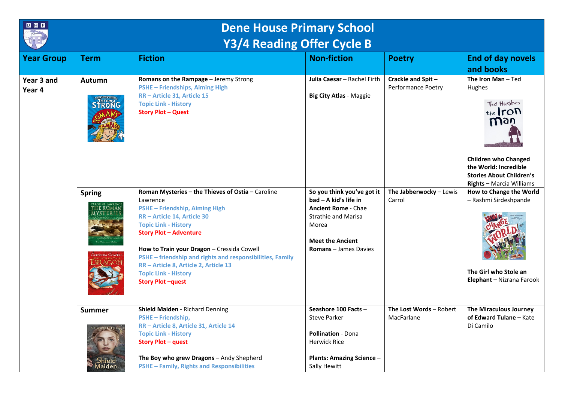

## **Dene House Primary School Y3/4 Reading Offer Cycle B**

|                      |                                | 197.119911.80111.970102                                                                                                                                                                                                                                                                                                                                 |                                                                                                                                                  |                                                                    |                                                                                                                                                                                                                      |
|----------------------|--------------------------------|---------------------------------------------------------------------------------------------------------------------------------------------------------------------------------------------------------------------------------------------------------------------------------------------------------------------------------------------------------|--------------------------------------------------------------------------------------------------------------------------------------------------|--------------------------------------------------------------------|----------------------------------------------------------------------------------------------------------------------------------------------------------------------------------------------------------------------|
| <b>Year Group</b>    | <b>Term</b>                    | <b>Fiction</b>                                                                                                                                                                                                                                                                                                                                          | <b>Non-fiction</b>                                                                                                                               | <b>Poetry</b>                                                      | <b>End of day novels</b><br>and books                                                                                                                                                                                |
| Year 3 and<br>Year 4 | Autumn<br><b>STRONG</b>        | Romans on the Rampage - Jeremy Strong<br>PSHE - Friendships, Aiming High<br>RR - Article 31, Article 15<br><b>Topic Link - History</b><br><b>Story Plot - Quest</b><br>Roman Mysteries - the Thieves of Ostia - Caroline                                                                                                                                | Julia Caesar - Rachel Firth<br><b>Big City Atlas - Maggie</b><br>So you think you've got it                                                      | Crackle and Spit-<br>Performance Poetry<br>The Jabberwocky - Lewis | The Iron Man-Ted<br>Hughes<br>Ted Hughes<br>the Iron<br>Way<br><b>Children who Changed</b><br>the World: Incredible<br><b>Stories About Children's</b><br><b>Rights - Marcia Williams</b><br>How to Change the World |
|                      | <b>Spring</b><br><b>EROMAN</b> | Lawrence<br>PSHE - Friendship, Aiming High<br>RR - Article 14, Article 30<br><b>Topic Link - History</b><br><b>Story Plot - Adventure</b><br>How to Train your Dragon - Cressida Cowell<br>PSHE - friendship and rights and responsibilities, Family<br>RR - Article 8, Article 2, Article 13<br><b>Topic Link - History</b><br><b>Story Plot-quest</b> | $bad - A kid's life in$<br><b>Ancient Rome - Chae</b><br>Strathie and Marisa<br>Morea<br><b>Meet the Ancient</b><br><b>Romans</b> - James Davies | Carrol                                                             | - Rashmi Sirdeshpande<br>The Girl who Stole an<br>Elephant - Nizrana Farook                                                                                                                                          |
|                      | <b>Summer</b><br>laiden        | Shield Maiden - Richard Denning<br><b>PSHE-Friendship,</b><br>RR - Article 8, Article 31, Article 14<br><b>Topic Link - History</b><br><b>Story Plot - quest</b><br>The Boy who grew Dragons - Andy Shepherd<br><b>PSHE - Family, Rights and Responsibilities</b>                                                                                       | Seashore 100 Facts -<br><b>Steve Parker</b><br>Pollination - Dona<br><b>Herwick Rice</b><br><b>Plants: Amazing Science -</b><br>Sally Hewitt     | The Lost Words - Robert<br>MacFarlane                              | The Miraculous Journey<br>of Edward Tulane - Kate<br>Di Camilo                                                                                                                                                       |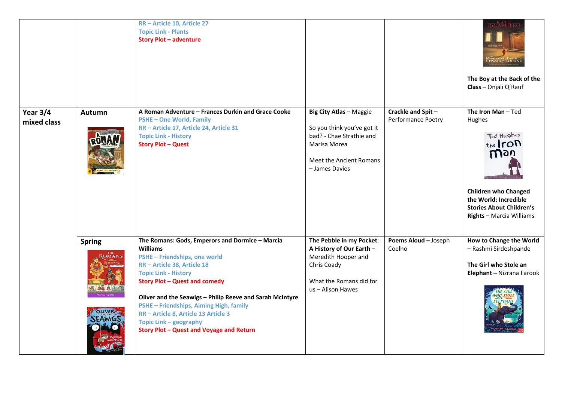|                           |                                | RR - Article 10, Article 27<br><b>Topic Link - Plants</b><br><b>Story Plot - adventure</b>                                                                                                                                                                                                                                                                                                                                            |                                                                                                                                                       |                                         | DICAMILLO<br>EDWARD TULANE<br>The Boy at the Back of the<br>Class - Onjali Q'Rauf                                                                                                         |
|---------------------------|--------------------------------|---------------------------------------------------------------------------------------------------------------------------------------------------------------------------------------------------------------------------------------------------------------------------------------------------------------------------------------------------------------------------------------------------------------------------------------|-------------------------------------------------------------------------------------------------------------------------------------------------------|-----------------------------------------|-------------------------------------------------------------------------------------------------------------------------------------------------------------------------------------------|
| Year $3/4$<br>mixed class | Autumn                         | A Roman Adventure - Frances Durkin and Grace Cooke<br><b>PSHE-One World, Family</b><br>RR - Article 17, Article 24, Article 31<br><b>Topic Link - History</b><br><b>Story Plot - Quest</b>                                                                                                                                                                                                                                            | <b>Big City Atlas - Maggie</b><br>So you think you've got it<br>bad? - Chae Strathie and<br>Marisa Morea<br>Meet the Ancient Romans<br>- James Davies | Crackle and Spit-<br>Performance Poetry | The Iron Man-Ted<br>Hughes<br>Ted Hughes<br>the Iron<br>man<br><b>Children who Changed</b><br>the World: Incredible<br><b>Stories About Children's</b><br><b>Rights - Marcia Williams</b> |
|                           | <b>Spring</b><br><b>OLIVER</b> | The Romans: Gods, Emperors and Dormice - Marcia<br><b>Williams</b><br>PSHE - Friendships, one world<br>RR - Article 38, Article 18<br><b>Topic Link - History</b><br><b>Story Plot - Quest and comedy</b><br>Oliver and the Seawigs - Philip Reeve and Sarah McIntyre<br>PSHE - Friendships, Aiming High, family<br>RR - Article 8, Article 13 Article 3<br>Topic Link - geography<br><b>Story Plot - Quest and Voyage and Return</b> | The Pebble in my Pocket:<br>A History of Our Earth -<br>Meredith Hooper and<br>Chris Coady<br>What the Romans did for<br>us - Alison Hawes            | Poems Aloud - Joseph<br>Coelho          | How to Change the World<br>- Rashmi Sirdeshpande<br>The Girl who Stole an<br>Elephant - Nizrana Farook                                                                                    |